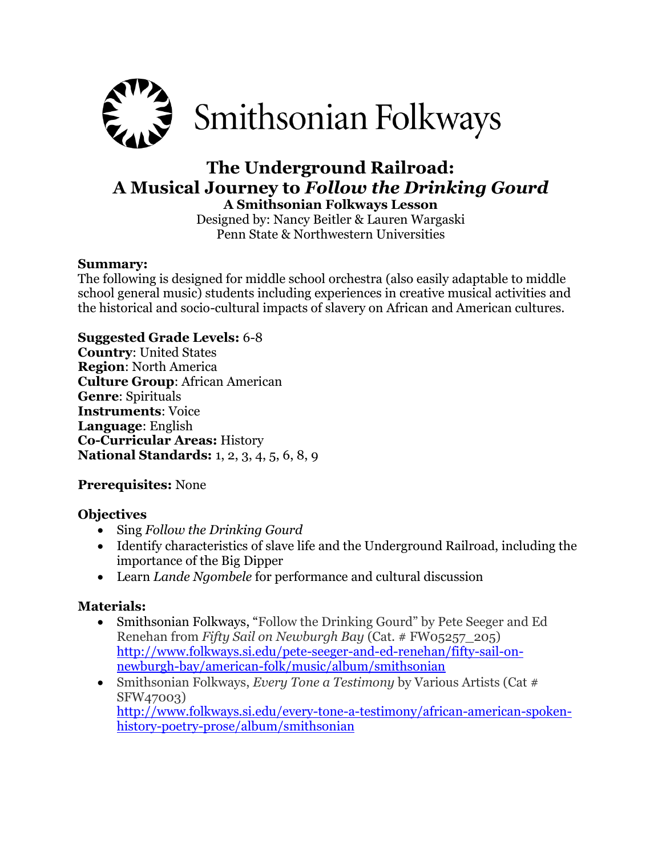

# **The Underground Railroad: A Musical Journey to** *Follow the Drinking Gourd*

**A Smithsonian Folkways Lesson** Designed by: Nancy Beitler & Lauren Wargaski Penn State & Northwestern Universities

#### **Summary:**

The following is designed for middle school orchestra (also easily adaptable to middle school general music) students including experiences in creative musical activities and the historical and socio-cultural impacts of slavery on African and American cultures.

#### **Suggested Grade Levels:** 6-8

**Country**: United States **Region**: North America **Culture Group**: African American **Genre**: Spirituals **Instruments**: Voice **Language**: English **Co-Curricular Areas:** History **National Standards:** 1, 2, 3, 4, 5, 6, 8, 9

#### **Prerequisites:** None

#### **Objectives**

- Sing *Follow the Drinking Gourd*
- Identify characteristics of slave life and the Underground Railroad, including the importance of the Big Dipper
- Learn *Lande Ngombele* for performance and cultural discussion

#### **Materials:**

- Smithsonian Folkways, "Follow the Drinking Gourd" by Pete Seeger and Ed Renehan from *Fifty Sail on Newburgh Bay* (Cat. # FW05257\_205) http://www.folkways.si.edu/pete-seeger-and-ed-renehan/fifty-sail-onnewburgh-bay/american-folk/music/album/smithsonian
- Smithsonian Folkways, *Every Tone a Testimony* by Various Artists (Cat # SFW47003) [http://www.folkways.si.edu/every-tone-a-testimony/african-american-spoken](http://www.folkways.si.edu/every-tone-a-testimony/african-american-spoken-history-poetry-prose/album/smithsonian)[history-poetry-prose/album/smithsonian](http://www.folkways.si.edu/every-tone-a-testimony/african-american-spoken-history-poetry-prose/album/smithsonian)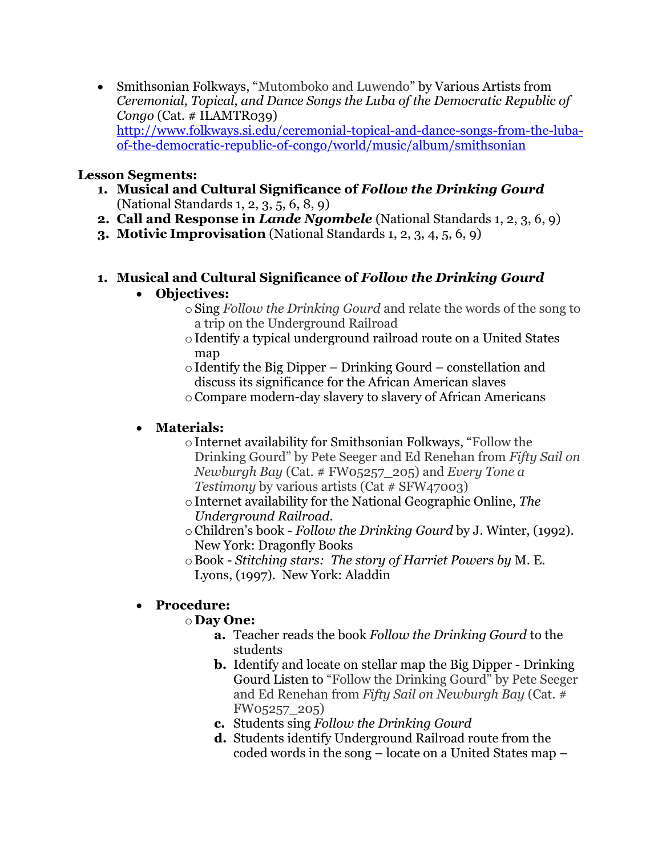Smithsonian Folkways, "Mutomboko and Luwendo" by Various Artists from *Ceremonial, Topical, and Dance Songs the Luba of the Democratic Republic of Congo* (Cat. # ILAMTR039) [http://www.folkways.si.edu/ceremonial-topical-and-dance-songs-from-the-luba](http://www.folkways.si.edu/ceremonial-topical-and-dance-songs-from-the-luba-of-the-democratic-republic-of-congo/world/music/album/smithsonian)[of-the-democratic-republic-of-congo/world/music/album/smithsonian](http://www.folkways.si.edu/ceremonial-topical-and-dance-songs-from-the-luba-of-the-democratic-republic-of-congo/world/music/album/smithsonian)

#### **Lesson Segments:**

- **1. Musical and Cultural Significance of** *Follow the Drinking Gourd* (National Standards 1, 2, 3, 5, 6, 8, 9)
- **2. Call and Response in** *Lande Ngombele* (National Standards 1, 2, 3, 6, 9)
- **3. Motivic Improvisation** (National Standards 1, 2, 3, 4, 5, 6, 9)

## **1. Musical and Cultural Significance of** *Follow the Drinking Gourd*

#### **Objectives:**

- oSing *Follow the Drinking Gourd* and relate the words of the song to a trip on the Underground Railroad
- o Identify a typical underground railroad route on a United States map
- $\circ$ Identify the Big Dipper Drinking Gourd constellation and discuss its significance for the African American slaves
- oCompare modern-day slavery to slavery of African Americans

#### **Materials:**

- oInternet availability for Smithsonian Folkways, "Follow the Drinking Gourd" by Pete Seeger and Ed Renehan from *Fifty Sail on Newburgh Bay* (Cat. # FW05257\_205) and *Every Tone a Testimony* by various artists (Cat # SFW47003)
- oInternet availability for the National Geographic Online, *The Underground Railroad.*
- oChildren's book *Follow the Drinking Gourd* by J. Winter, (1992). New York: Dragonfly Books
- oBook *Stitching stars: The story of Harriet Powers by* M. E. Lyons, (1997). New York: Aladdin

# **Procedure:**

#### o **Day One:**

- **a.** Teacher reads the book *Follow the Drinking Gourd* to the students
- **b.** Identify and locate on stellar map the Big Dipper Drinking Gourd Listen to "Follow the Drinking Gourd" by Pete Seeger and Ed Renehan from *Fifty Sail on Newburgh Bay* (Cat. # FW05257\_205)
- **c.** Students sing *Follow the Drinking Gourd*
- **d.** Students identify Underground Railroad route from the coded words in the song – locate on a United States map –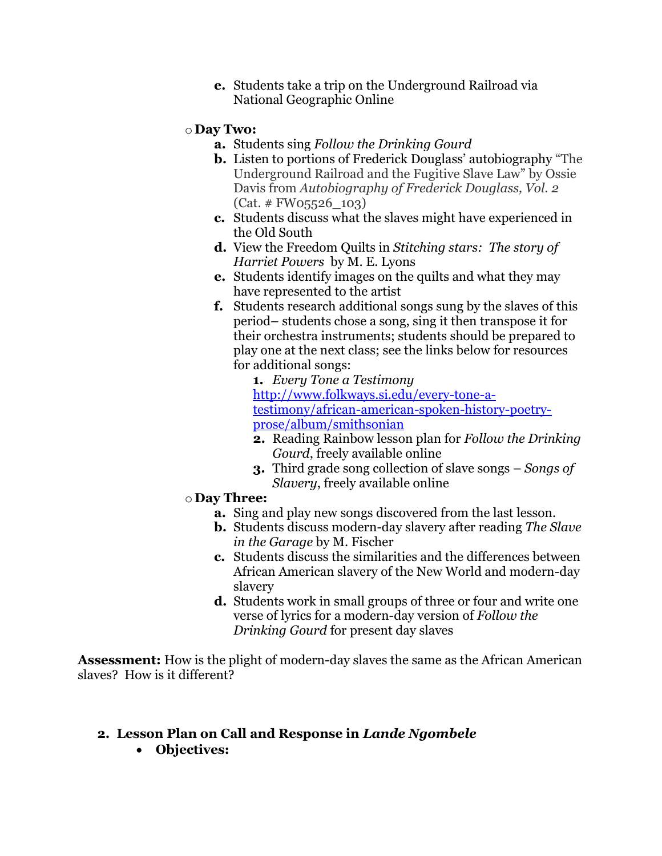**e.** Students take a trip on the Underground Railroad via National Geographic Online

#### o **Day Two:**

- **a.** Students sing *Follow the Drinking Gourd*
- **b.** Listen to portions of Frederick Douglass' autobiography "The Underground Railroad and the Fugitive Slave Law" by Ossie Davis from *Autobiography of Frederick Douglass, Vol. 2*   $(Cat. \# FW05526 103)$
- **c.** Students discuss what the slaves might have experienced in the Old South
- **d.** View the Freedom Quilts in *Stitching stars: The story of Harriet Powers* by M. E. Lyons
- **e.** Students identify images on the quilts and what they may have represented to the artist
- **f.** Students research additional songs sung by the slaves of this period– students chose a song, sing it then transpose it for their orchestra instruments; students should be prepared to play one at the next class; see the links below for resources for additional songs:

**1.** *Every Tone a Testimony*  [http://www.folkways.si.edu/every-tone-a](http://www.folkways.si.edu/every-tone-a-testimony/african-american-spoken-history-poetry-prose/album/smithsonian)[testimony/african-american-spoken-history-poetry](http://www.folkways.si.edu/every-tone-a-testimony/african-american-spoken-history-poetry-prose/album/smithsonian)[prose/album/smithsonian](http://www.folkways.si.edu/every-tone-a-testimony/african-american-spoken-history-poetry-prose/album/smithsonian) 

- **2.** Reading Rainbow lesson plan for *Follow the Drinking Gourd*, freely available online
- **3.** Third grade song collection of slave songs *Songs of Slavery*, freely available online
- o **Day Three:**
	- **a.** Sing and play new songs discovered from the last lesson.
	- **b.** Students discuss modern-day slavery after reading *The Slave in the Garage* by M. Fischer
	- **c.** Students discuss the similarities and the differences between African American slavery of the New World and modern-day slavery
	- **d.** Students work in small groups of three or four and write one verse of lyrics for a modern-day version of *Follow the Drinking Gourd* for present day slaves

**Assessment:** How is the plight of modern-day slaves the same as the African American slaves? How is it different?

#### **2. Lesson Plan on Call and Response in** *Lande Ngombele*

**Objectives:**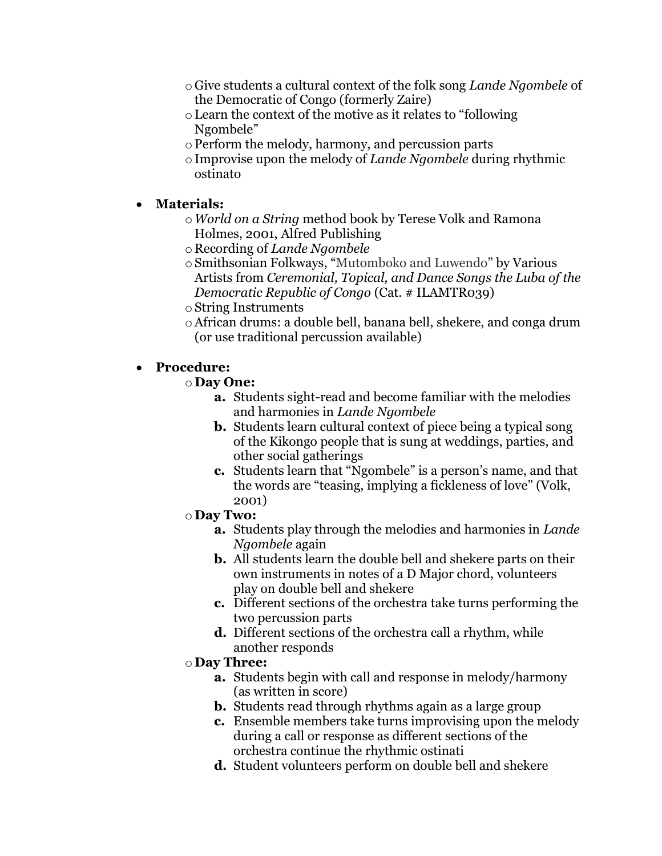- o Give students a cultural context of the folk song *Lande Ngombele* of the Democratic of Congo (formerly Zaire)
- oLearn the context of the motive as it relates to "following Ngombele"
- oPerform the melody, harmony, and percussion parts
- oImprovise upon the melody of *Lande Ngombele* during rhythmic ostinato

#### **Materials:**

- o*World on a String* method book by Terese Volk and Ramona Holmes, 2001, Alfred Publishing
- o Recording of *Lande Ngombele*
- oSmithsonian Folkways, "Mutomboko and Luwendo" by Various Artists from *Ceremonial, Topical, and Dance Songs the Luba of the Democratic Republic of Congo* (Cat. # ILAMTR039)
- oString Instruments
- oAfrican drums: a double bell, banana bell, shekere, and conga drum (or use traditional percussion available)

#### **Procedure:**

#### o **Day One:**

- **a.** Students sight-read and become familiar with the melodies and harmonies in *Lande Ngombele*
- **b.** Students learn cultural context of piece being a typical song of the Kikongo people that is sung at weddings, parties, and other social gatherings
- **c.** Students learn that "Ngombele" is a person's name, and that the words are "teasing, implying a fickleness of love" (Volk, 2001)
- o **Day Two:**
	- **a.** Students play through the melodies and harmonies in *Lande Ngombele* again
	- **b.** All students learn the double bell and shekere parts on their own instruments in notes of a D Major chord, volunteers play on double bell and shekere
	- **c.** Different sections of the orchestra take turns performing the two percussion parts
	- **d.** Different sections of the orchestra call a rhythm, while another responds
- o **Day Three:**
	- **a.** Students begin with call and response in melody/harmony (as written in score)
	- **b.** Students read through rhythms again as a large group
	- **c.** Ensemble members take turns improvising upon the melody during a call or response as different sections of the orchestra continue the rhythmic ostinati
	- **d.** Student volunteers perform on double bell and shekere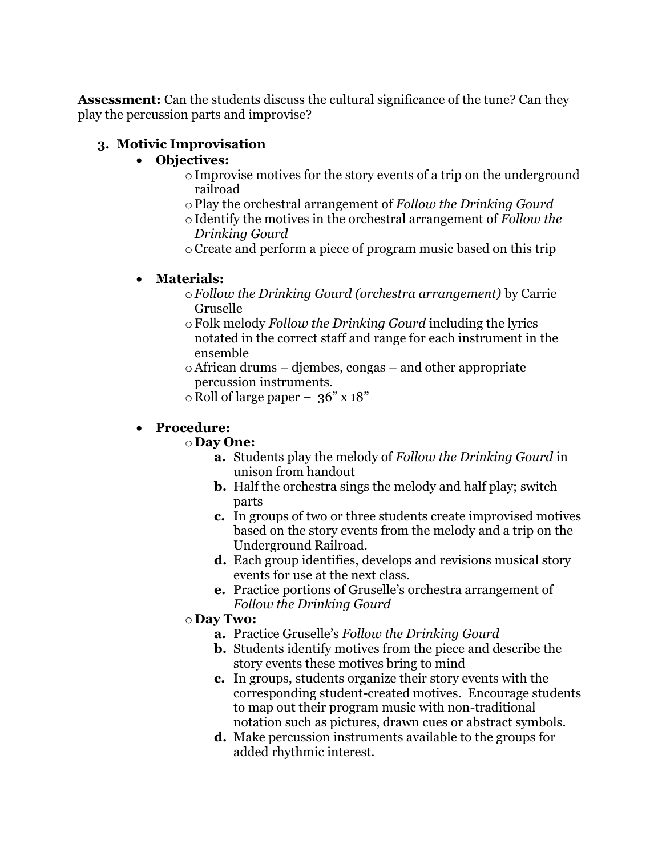**Assessment:** Can the students discuss the cultural significance of the tune? Can they play the percussion parts and improvise?

# **3. Motivic Improvisation**

# **Objectives:**

- oImprovise motives for the story events of a trip on the underground railroad
- oPlay the orchestral arrangement of *Follow the Drinking Gourd*
- oIdentify the motives in the orchestral arrangement of *Follow the Drinking Gourd*
- oCreate and perform a piece of program music based on this trip

# **Materials:**

- o*Follow the Drinking Gourd (orchestra arrangement)* by Carrie Gruselle
- oFolk melody *Follow the Drinking Gourd* including the lyrics notated in the correct staff and range for each instrument in the ensemble
- oAfrican drums djembes, congas and other appropriate percussion instruments.
- $\circ$  Roll of large paper 36" x 18"

# **Procedure:**

# o **Day One:**

- **a.** Students play the melody of *Follow the Drinking Gourd* in unison from handout
- **b.** Half the orchestra sings the melody and half play; switch parts
- **c.** In groups of two or three students create improvised motives based on the story events from the melody and a trip on the Underground Railroad.
- **d.** Each group identifies, develops and revisions musical story events for use at the next class.
- **e.** Practice portions of Gruselle's orchestra arrangement of *Follow the Drinking Gourd*

# o **Day Two:**

- **a.** Practice Gruselle's *Follow the Drinking Gourd*
- **b.** Students identify motives from the piece and describe the story events these motives bring to mind
- **c.** In groups, students organize their story events with the corresponding student-created motives. Encourage students to map out their program music with non-traditional notation such as pictures, drawn cues or abstract symbols.
- **d.** Make percussion instruments available to the groups for added rhythmic interest.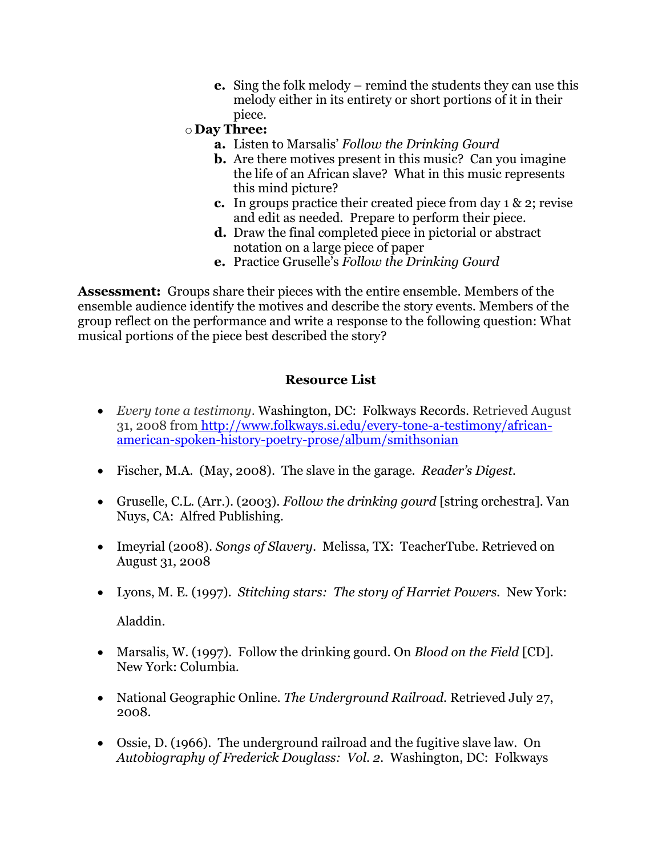**e.** Sing the folk melody – remind the students they can use this melody either in its entirety or short portions of it in their piece.

## o **Day Three:**

- **a.** Listen to Marsalis' *Follow the Drinking Gourd*
- **b.** Are there motives present in this music? Can you imagine the life of an African slave? What in this music represents this mind picture?
- **c.** In groups practice their created piece from day 1 & 2; revise and edit as needed. Prepare to perform their piece.
- **d.** Draw the final completed piece in pictorial or abstract notation on a large piece of paper
- **e.** Practice Gruselle's *Follow the Drinking Gourd*

**Assessment:** Groups share their pieces with the entire ensemble. Members of the ensemble audience identify the motives and describe the story events. Members of the group reflect on the performance and write a response to the following question: What musical portions of the piece best described the story?

#### **Resource List**

- *Every tone a testimony*. Washington, DC: Folkways Records. Retrieved August 31, 2008 from [http://www.folkways.si.edu/every-tone-a-testimony/african](http://www.folkways.si.edu/every-tone-a-testimony/african-american-spoken-history-poetry-prose/album/smithsonian)[american-spoken-history-poetry-prose/album/smithsonian](http://www.folkways.si.edu/every-tone-a-testimony/african-american-spoken-history-poetry-prose/album/smithsonian)
- Fischer, M.A. (May, 2008). The slave in the garage. *Reader's Digest.*
- Gruselle, C.L. (Arr.). (2003). *Follow the drinking gourd* [string orchestra]. Van Nuys, CA: Alfred Publishing.
- Imeyrial (2008). *Songs of Slavery*. Melissa, TX: TeacherTube. Retrieved on August 31, 2008
- Lyons, M. E. (1997). *Stitching stars: The story of Harriet Powers.* New York:

Aladdin.

- Marsalis, W. (1997). Follow the drinking gourd. On *Blood on the Field* [CD]. New York: Columbia.
- National Geographic Online. *The Underground Railroad.* Retrieved July 27, 2008.
- Ossie, D. (1966). The underground railroad and the fugitive slave law. On *Autobiography of Frederick Douglass: Vol. 2.* Washington, DC: Folkways